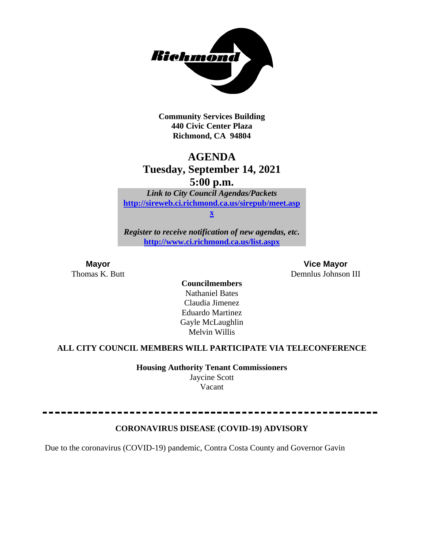

**Community Services Building 440 Civic Center Plaza Richmond, CA 94804**

# **AGENDA Tuesday, September 14, 2021 5:00 p.m.**

*Link to City Council Agendas/Packets* **[http://sireweb.ci.richmond.ca.us/sirepub/meet.asp](http://sireweb.ci.richmond.ca.us/sirepub/meet.aspx)**

**[x](http://sireweb.ci.richmond.ca.us/sirepub/meet.aspx)**

*Register to receive notification of new agendas, etc.* **<http://www.ci.richmond.ca.us/list.aspx>**

**Mayor Vice Mayor** Thomas K. Butt **Demnlus Johnson III** 

**Councilmembers** Nathaniel Bates Claudia Jimenez Eduardo Martinez Gayle McLaughlin Melvin Willis

# **ALL CITY COUNCIL MEMBERS WILL PARTICIPATE VIA TELECONFERENCE**

**Housing Authority Tenant Commissioners** Jaycine Scott Vacant

### **CORONAVIRUS DISEASE (COVID-19) ADVISORY**

Due to the coronavirus (COVID-19) pandemic, Contra Costa County and Governor Gavin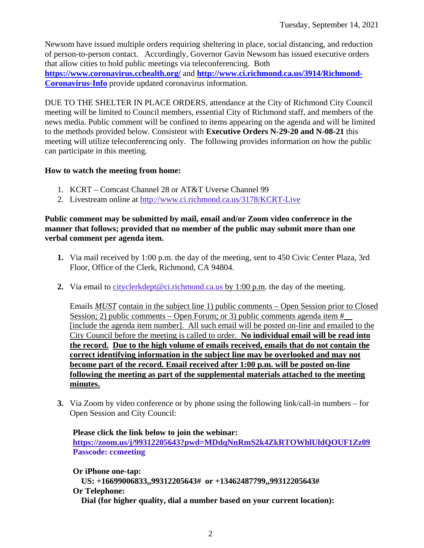Newsom have issued multiple orders requiring sheltering in place, social distancing, and reduction of person-to-person contact. Accordingly, Governor Gavin Newsom has issued executive orders that allow cities to hold public meetings via teleconferencing. Both **<https://www.coronavirus.cchealth.org/>** and **[http://www.ci.richmond.ca.us/3914/Richmond-](http://www.ci.richmond.ca.us/3914/Richmond-Coronavirus-Info)[Coronavirus-Info](http://www.ci.richmond.ca.us/3914/Richmond-Coronavirus-Info)** provide updated coronavirus information.

DUE TO THE SHELTER IN PLACE ORDERS, attendance at the City of Richmond City Council meeting will be limited to Council members, essential City of Richmond staff, and members of the news media. Public comment will be confined to items appearing on the agenda and will be limited to the methods provided below. Consistent with **Executive Orders N-29-20 and N-08-21** this meeting will utilize teleconferencing only. The following provides information on how the public can participate in this meeting.

### **How to watch the meeting from home:**

- 1. KCRT Comcast Channel 28 or AT&T Uverse Channel 99
- 2. Livestream online at<http://www.ci.richmond.ca.us/3178/KCRT-Live>

### **Public comment may be submitted by mail, email and/or Zoom video conference in the manner that follows; provided that no member of the public may submit more than one verbal comment per agenda item.**

- **1.** Via mail received by 1:00 p.m. the day of the meeting, sent to 450 Civic Center Plaza, 3rd Floor, Office of the Clerk, Richmond, CA 94804.
- **2.** Via email to [cityclerkdept@ci.richmond.ca.us](mailto:cityclerkdept@ci.richmond.ca.us) by 1:00 p.m. the day of the meeting.

Emails *MUST* contain in the subject line 1) public comments – Open Session prior to Closed Session; 2) public comments – Open Forum; or 3) public comments agenda item  $#$ [include the agenda item number]. All such email will be posted on-line and emailed to the City Council before the meeting is called to order. **No individual email will be read into the record. Due to the high volume of emails received, emails that do not contain the correct identifying information in the subject line may be overlooked and may not become part of the record. Email received after 1:00 p.m. will be posted on-line following the meeting as part of the supplemental materials attached to the meeting minutes.**

**3.** Via Zoom by video conference or by phone using the following link/call-in numbers – for Open Session and City Council:

### **Please click the link below to join the webinar: <https://zoom.us/j/99312205643?pwd=MDdqNnRmS2k4ZkRTOWhlUldQOUF1Zz09> Passcode: ccmeeting**

**Or iPhone one-tap: US: +16699006833,,99312205643# or +13462487799,,99312205643# Or Telephone:**

**Dial (for higher quality, dial a number based on your current location):**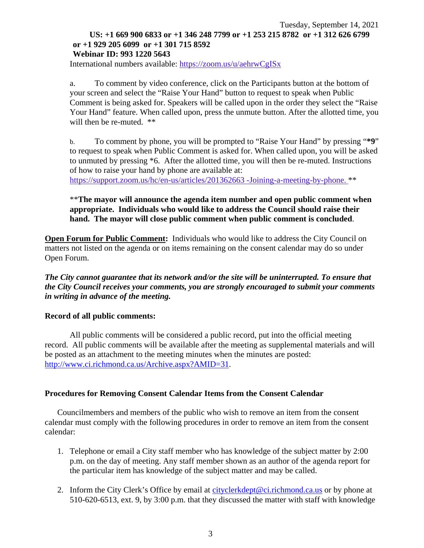### Tuesday, September 14, 2021 **US: +1 669 900 6833 or +1 346 248 7799 or +1 253 215 8782 or +1 312 626 6799 or +1 929 205 6099 or +1 301 715 8592 Webinar ID: 993 1220 5643**

International numbers available: <https://zoom.us/u/aehrwCgISx>

a. To comment by video conference, click on the Participants button at the bottom of your screen and select the "Raise Your Hand" button to request to speak when Public Comment is being asked for. Speakers will be called upon in the order they select the "Raise Your Hand" feature. When called upon, press the unmute button. After the allotted time, you will then be re-muted. \*\*

b. To comment by phone, you will be prompted to "Raise Your Hand" by pressing "**\*9**" to request to speak when Public Comment is asked for. When called upon, you will be asked to unmuted by pressing \*6. After the allotted time, you will then be re-muted. Instructions of how to raise your hand by phone are available at: [https://support.zoom.us/hc/en-us/articles/201362663 -Joining-a-meeting-by-phone.](https://support.zoom.us/hc/en-us/articles/201362663) \*\*

### \*\***The mayor will announce the agenda item number and open public comment when appropriate. Individuals who would like to address the Council should raise their hand. The mayor will close public comment when public comment is concluded**.

**Open Forum for Public Comment:** Individuals who would like to address the City Council on matters not listed on the agenda or on items remaining on the consent calendar may do so under Open Forum.

*The City cannot guarantee that its network and/or the site will be uninterrupted. To ensure that the City Council receives your comments, you are strongly encouraged to submit your comments in writing in advance of the meeting.* 

### **Record of all public comments:**

All public comments will be considered a public record, put into the official meeting record. All public comments will be available after the meeting as supplemental materials and will be posted as an attachment to the meeting minutes when the minutes are posted: [http://www.ci.richmond.ca.us/Archive.aspx?AMID=31.](http://www.ci.richmond.ca.us/Archive.aspx?AMID=31)

#### **Procedures for Removing Consent Calendar Items from the Consent Calendar**

Councilmembers and members of the public who wish to remove an item from the consent calendar must comply with the following procedures in order to remove an item from the consent calendar:

- 1. Telephone or email a City staff member who has knowledge of the subject matter by 2:00 p.m. on the day of meeting. Any staff member shown as an author of the agenda report for the particular item has knowledge of the subject matter and may be called.
- 2. Inform the City Clerk's Office by email at [cityclerkdept@ci.richmond.ca.us](mailto:cityclerkdept@ci.richmond.ca.us) or by phone at 510-620-6513, ext. 9, by 3:00 p.m. that they discussed the matter with staff with knowledge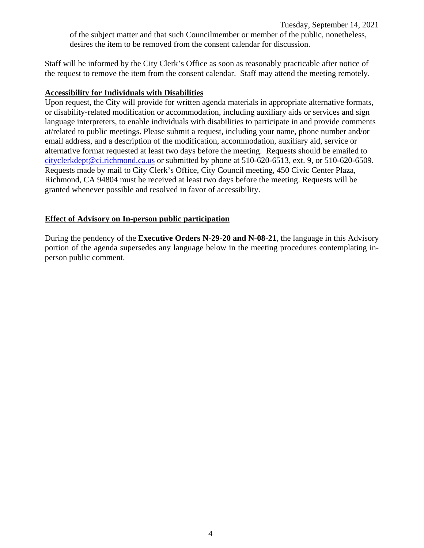Tuesday, September 14, 2021 of the subject matter and that such Councilmember or member of the public, nonetheless,

desires the item to be removed from the consent calendar for discussion.

Staff will be informed by the City Clerk's Office as soon as reasonably practicable after notice of the request to remove the item from the consent calendar. Staff may attend the meeting remotely.

#### **Accessibility for Individuals with Disabilities**

Upon request, the City will provide for written agenda materials in appropriate alternative formats, or disability-related modification or accommodation, including auxiliary aids or services and sign language interpreters, to enable individuals with disabilities to participate in and provide comments at/related to public meetings. Please submit a request, including your name, phone number and/or email address, and a description of the modification, accommodation, auxiliary aid, service or alternative format requested at least two days before the meeting. Requests should be emailed to [cityclerkdept@ci.richmond.ca.us](mailto:cityclerkdept@ci.richmond.ca.us) or submitted by phone at 510-620-6513, ext. 9, or 510-620-6509. Requests made by mail to City Clerk's Office, City Council meeting, 450 Civic Center Plaza, Richmond, CA 94804 must be received at least two days before the meeting. Requests will be granted whenever possible and resolved in favor of accessibility.

### **Effect of Advisory on In-person public participation**

During the pendency of the **Executive Orders N-29-20 and N-08-21**, the language in this Advisory portion of the agenda supersedes any language below in the meeting procedures contemplating inperson public comment.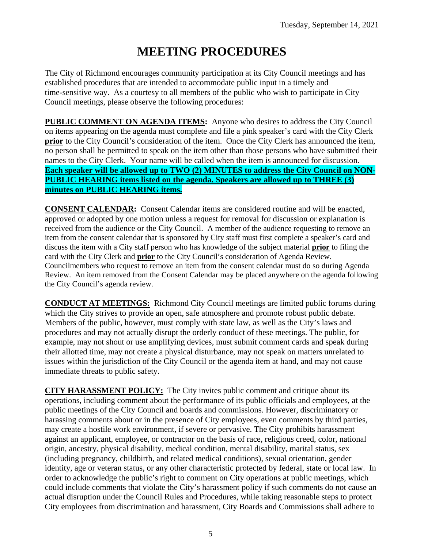# **MEETING PROCEDURES**

The City of Richmond encourages community participation at its City Council meetings and has established procedures that are intended to accommodate public input in a timely and time-sensitive way. As a courtesy to all members of the public who wish to participate in City Council meetings, please observe the following procedures:

**PUBLIC COMMENT ON AGENDA ITEMS:** Anyone who desires to address the City Council on items appearing on the agenda must complete and file a pink speaker's card with the City Clerk **prior** to the City Council's consideration of the item. Once the City Clerk has announced the item, no person shall be permitted to speak on the item other than those persons who have submitted their names to the City Clerk. Your name will be called when the item is announced for discussion. **Each speaker will be allowed up to TWO (2) MINUTES to address the City Council on NON-PUBLIC HEARING items listed on the agenda. Speakers are allowed up to THREE (3) minutes on PUBLIC HEARING items.**

**CONSENT CALENDAR:** Consent Calendar items are considered routine and will be enacted, approved or adopted by one motion unless a request for removal for discussion or explanation is received from the audience or the City Council. A member of the audience requesting to remove an item from the consent calendar that is sponsored by City staff must first complete a speaker's card and discuss the item with a City staff person who has knowledge of the subject material **prior** to filing the card with the City Clerk and **prior** to the City Council's consideration of Agenda Review. Councilmembers who request to remove an item from the consent calendar must do so during Agenda Review. An item removed from the Consent Calendar may be placed anywhere on the agenda following the City Council's agenda review.

**CONDUCT AT MEETINGS:** Richmond City Council meetings are limited public forums during which the City strives to provide an open, safe atmosphere and promote robust public debate. Members of the public, however, must comply with state law, as well as the City's laws and procedures and may not actually disrupt the orderly conduct of these meetings. The public, for example, may not shout or use amplifying devices, must submit comment cards and speak during their allotted time, may not create a physical disturbance, may not speak on matters unrelated to issues within the jurisdiction of the City Council or the agenda item at hand, and may not cause immediate threats to public safety.

**CITY HARASSMENT POLICY:** The City invites public comment and critique about its operations, including comment about the performance of its public officials and employees, at the public meetings of the City Council and boards and commissions. However, discriminatory or harassing comments about or in the presence of City employees, even comments by third parties, may create a hostile work environment, if severe or pervasive. The City prohibits harassment against an applicant, employee, or contractor on the basis of race, religious creed, color, national origin, ancestry, physical disability, medical condition, mental disability, marital status, sex (including pregnancy, childbirth, and related medical conditions), sexual orientation, gender identity, age or veteran status, or any other characteristic protected by federal, state or local law. In order to acknowledge the public's right to comment on City operations at public meetings, which could include comments that violate the City's harassment policy if such comments do not cause an actual disruption under the Council Rules and Procedures, while taking reasonable steps to protect City employees from discrimination and harassment, City Boards and Commissions shall adhere to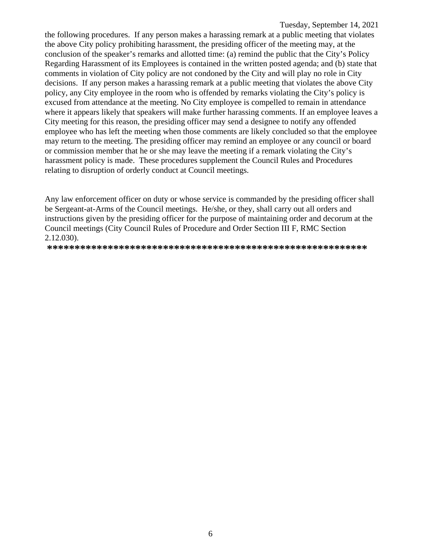the following procedures. If any person makes a harassing remark at a public meeting that violates the above City policy prohibiting harassment, the presiding officer of the meeting may, at the conclusion of the speaker's remarks and allotted time: (a) remind the public that the City's Policy Regarding Harassment of its Employees is contained in the written posted agenda; and (b) state that comments in violation of City policy are not condoned by the City and will play no role in City decisions. If any person makes a harassing remark at a public meeting that violates the above City policy, any City employee in the room who is offended by remarks violating the City's policy is excused from attendance at the meeting. No City employee is compelled to remain in attendance where it appears likely that speakers will make further harassing comments. If an employee leaves a City meeting for this reason, the presiding officer may send a designee to notify any offended employee who has left the meeting when those comments are likely concluded so that the employee may return to the meeting. The presiding officer may remind an employee or any council or board or commission member that he or she may leave the meeting if a remark violating the City's harassment policy is made. These procedures supplement the Council Rules and Procedures relating to disruption of orderly conduct at Council meetings.

Any law enforcement officer on duty or whose service is commanded by the presiding officer shall be Sergeant-at-Arms of the Council meetings. He/she, or they, shall carry out all orders and instructions given by the presiding officer for the purpose of maintaining order and decorum at the Council meetings (City Council Rules of Procedure and Order Section III F, RMC Section 2.12.030).

**\*\*\*\*\*\*\*\*\*\*\*\*\*\*\*\*\*\*\*\*\*\*\*\*\*\*\*\*\*\*\*\*\*\*\*\*\*\*\*\*\*\*\*\*\*\*\*\*\*\*\*\*\*\*\*\*\*\***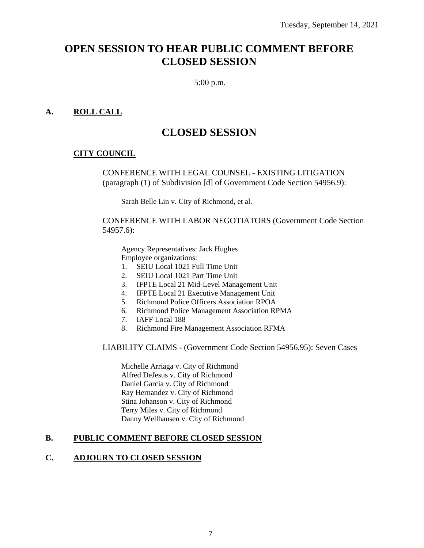# **OPEN SESSION TO HEAR PUBLIC COMMENT BEFORE CLOSED SESSION**

5:00 p.m.

### **A. ROLL CALL**

# **CLOSED SESSION**

### **CITY COUNCIL**

CONFERENCE WITH LEGAL COUNSEL - EXISTING LITIGATION (paragraph (1) of Subdivision [d] of Government Code Section 54956.9):

Sarah Belle Lin v. City of Richmond, et al.

CONFERENCE WITH LABOR NEGOTIATORS (Government Code Section 54957.6):

Agency Representatives: Jack Hughes Employee organizations:

- 1. SEIU Local 1021 Full Time Unit
- 2. SEIU Local 1021 Part Time Unit
- 3. IFPTE Local 21 Mid-Level Management Unit
- 4. IFPTE Local 21 Executive Management Unit
- 5. Richmond Police Officers Association RPOA
- 6. Richmond Police Management Association RPMA
- 7. IAFF Local 188
- 8. Richmond Fire Management Association RFMA

LIABILITY CLAIMS - (Government Code Section 54956.95): Seven Cases

Michelle Arriaga v. City of Richmond Alfred DeJesus v. City of Richmond Daniel Garcia v. City of Richmond Ray Hernandez v. City of Richmond Stina Johanson v. City of Richmond Terry Miles v. City of Richmond Danny Wellhausen v. City of Richmond

### **B. PUBLIC COMMENT BEFORE CLOSED SESSION**

### **C. ADJOURN TO CLOSED SESSION**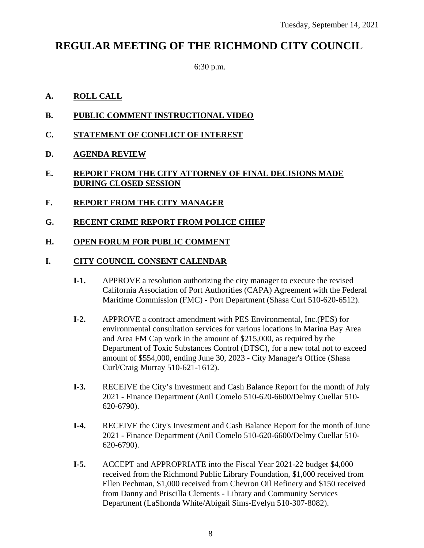# **REGULAR MEETING OF THE RICHMOND CITY COUNCIL**

6:30 p.m.

# **A. ROLL CALL**

- **B. PUBLIC COMMENT INSTRUCTIONAL VIDEO**
- **C. STATEMENT OF CONFLICT OF INTEREST**
- **D. AGENDA REVIEW**

# **E. REPORT FROM THE CITY ATTORNEY OF FINAL DECISIONS MADE DURING CLOSED SESSION**

- **F. REPORT FROM THE CITY MANAGER**
- **G. RECENT CRIME REPORT FROM POLICE CHIEF**
- **H. OPEN FORUM FOR PUBLIC COMMENT**

# **I. CITY COUNCIL CONSENT CALENDAR**

- **I-1.** APPROVE a resolution authorizing the city manager to execute the revised California Association of Port Authorities (CAPA) Agreement with the Federal Maritime Commission (FMC) - Port Department (Shasa Curl 510-620-6512).
- **I-2.** APPROVE a contract amendment with PES Environmental, Inc.(PES) for environmental consultation services for various locations in Marina Bay Area and Area FM Cap work in the amount of \$215,000, as required by the Department of Toxic Substances Control (DTSC), for a new total not to exceed amount of \$554,000, ending June 30, 2023 - City Manager's Office (Shasa Curl/Craig Murray 510-621-1612).
- **I-3.** RECEIVE the City's Investment and Cash Balance Report for the month of July 2021 - Finance Department (Anil Comelo 510-620-6600/Delmy Cuellar 510- 620-6790).
- **I-4.** RECEIVE the City's Investment and Cash Balance Report for the month of June 2021 - Finance Department (Anil Comelo 510-620-6600/Delmy Cuellar 510- 620-6790).
- **I-5.** ACCEPT and APPROPRIATE into the Fiscal Year 2021-22 budget \$4,000 received from the Richmond Public Library Foundation, \$1,000 received from Ellen Pechman, \$1,000 received from Chevron Oil Refinery and \$150 received from Danny and Priscilla Clements - Library and Community Services Department (LaShonda White/Abigail Sims-Evelyn 510-307-8082).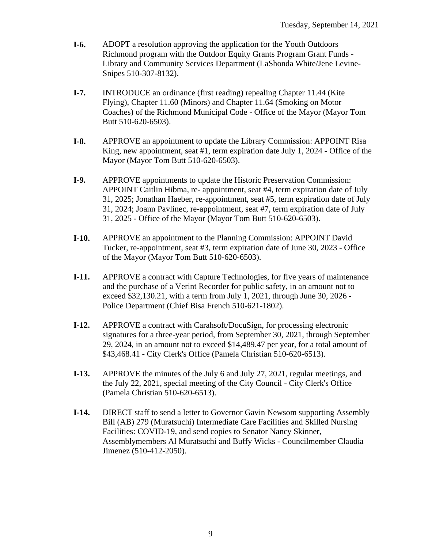- **I-6.** ADOPT a resolution approving the application for the Youth Outdoors Richmond program with the Outdoor Equity Grants Program Grant Funds - Library and Community Services Department (LaShonda White/Jene Levine-Snipes 510-307-8132).
- **I-7.** INTRODUCE an ordinance (first reading) repealing Chapter 11.44 (Kite Flying), Chapter 11.60 (Minors) and Chapter 11.64 (Smoking on Motor Coaches) of the Richmond Municipal Code - Office of the Mayor (Mayor Tom Butt 510-620-6503).
- **I-8.** APPROVE an appointment to update the Library Commission: APPOINT Risa King, new appointment, seat  $#1$ , term expiration date July 1, 2024 - Office of the Mayor (Mayor Tom Butt 510-620-6503).
- **I-9.** APPROVE appointments to update the Historic Preservation Commission: APPOINT Caitlin Hibma, re- appointment, seat #4, term expiration date of July 31, 2025; Jonathan Haeber, re-appointment, seat #5, term expiration date of July 31, 2024; Joann Pavlinec, re-appointment, seat #7, term expiration date of July 31, 2025 - Office of the Mayor (Mayor Tom Butt 510-620-6503).
- **I-10.** APPROVE an appointment to the Planning Commission: APPOINT David Tucker, re-appointment, seat #3, term expiration date of June 30, 2023 - Office of the Mayor (Mayor Tom Butt 510-620-6503).
- **I-11.** APPROVE a contract with Capture Technologies, for five years of maintenance and the purchase of a Verint Recorder for public safety, in an amount not to exceed \$32,130.21, with a term from July 1, 2021, through June 30, 2026 - Police Department (Chief Bisa French 510-621-1802).
- **I-12.** APPROVE a contract with Carahsoft/DocuSign, for processing electronic signatures for a three-year period, from September 30, 2021, through September 29, 2024, in an amount not to exceed \$14,489.47 per year, for a total amount of \$43,468.41 - City Clerk's Office (Pamela Christian 510-620-6513).
- **I-13.** APPROVE the minutes of the July 6 and July 27, 2021, regular meetings, and the July 22, 2021, special meeting of the City Council - City Clerk's Office (Pamela Christian 510-620-6513).
- **I-14.** DIRECT staff to send a letter to Governor Gavin Newsom supporting Assembly Bill (AB) 279 (Muratsuchi) Intermediate Care Facilities and Skilled Nursing Facilities: COVID-19, and send copies to Senator Nancy Skinner, Assemblymembers Al Muratsuchi and Buffy Wicks - Councilmember Claudia Jimenez (510-412-2050).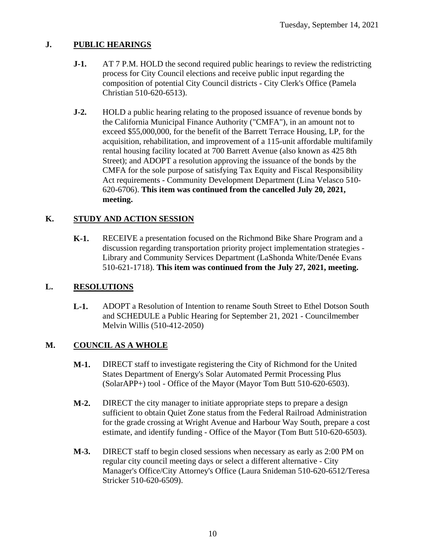# **J. PUBLIC HEARINGS**

- **J-1.** AT 7 P.M. HOLD the second required public hearings to review the redistricting process for City Council elections and receive public input regarding the composition of potential City Council districts - City Clerk's Office (Pamela Christian 510-620-6513).
- **J-2.** HOLD a public hearing relating to the proposed issuance of revenue bonds by the California Municipal Finance Authority ("CMFA"), in an amount not to exceed \$55,000,000, for the benefit of the Barrett Terrace Housing, LP, for the acquisition, rehabilitation, and improvement of a 115-unit affordable multifamily rental housing facility located at 700 Barrett Avenue (also known as 425 8th Street); and ADOPT a resolution approving the issuance of the bonds by the CMFA for the sole purpose of satisfying Tax Equity and Fiscal Responsibility Act requirements - Community Development Department (Lina Velasco 510- 620-6706). **This item was continued from the cancelled July 20, 2021, meeting.**

### **K. STUDY AND ACTION SESSION**

**K-1.** RECEIVE a presentation focused on the Richmond Bike Share Program and a discussion regarding transportation priority project implementation strategies - Library and Community Services Department (LaShonda White/Denée Evans 510-621-1718). **This item was continued from the July 27, 2021, meeting.**

### **L. RESOLUTIONS**

**L-1.** ADOPT a Resolution of Intention to rename South Street to Ethel Dotson South and SCHEDULE a Public Hearing for September 21, 2021 - Councilmember Melvin Willis (510-412-2050)

### **M. COUNCIL AS A WHOLE**

- **M-1.** DIRECT staff to investigate registering the City of Richmond for the United States Department of Energy's Solar Automated Permit Processing Plus (SolarAPP+) tool - Office of the Mayor (Mayor Tom Butt 510-620-6503).
- **M-2.** DIRECT the city manager to initiate appropriate steps to prepare a design sufficient to obtain Quiet Zone status from the Federal Railroad Administration for the grade crossing at Wright Avenue and Harbour Way South, prepare a cost estimate, and identify funding - Office of the Mayor (Tom Butt 510-620-6503).
- **M-3.** DIRECT staff to begin closed sessions when necessary as early as 2:00 PM on regular city council meeting days or select a different alternative - City Manager's Office/City Attorney's Office (Laura Snideman 510-620-6512/Teresa Stricker 510-620-6509).